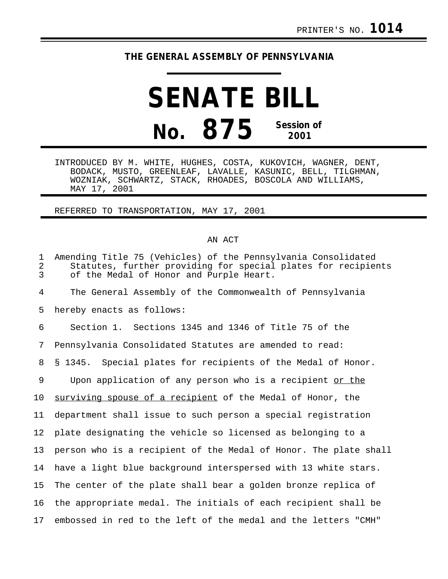## **THE GENERAL ASSEMBLY OF PENNSYLVANIA**

## **SENATE BILL No. 875 Session of 2001**

INTRODUCED BY M. WHITE, HUGHES, COSTA, KUKOVICH, WAGNER, DENT, BODACK, MUSTO, GREENLEAF, LAVALLE, KASUNIC, BELL, TILGHMAN, WOZNIAK, SCHWARTZ, STACK, RHOADES, BOSCOLA AND WILLIAMS, MAY 17, 2001

REFERRED TO TRANSPORTATION, MAY 17, 2001

## AN ACT

| $\mathbf{1}$<br>2<br>$\overline{3}$ | Amending Title 75 (Vehicles) of the Pennsylvania Consolidated<br>Statutes, further providing for special plates for recipients<br>of the Medal of Honor and Purple Heart. |
|-------------------------------------|---------------------------------------------------------------------------------------------------------------------------------------------------------------------------|
| 4                                   | The General Assembly of the Commonwealth of Pennsylvania                                                                                                                  |
| 5                                   | hereby enacts as follows:                                                                                                                                                 |
| 6                                   | Section 1. Sections 1345 and 1346 of Title 75 of the                                                                                                                      |
| 7                                   | Pennsylvania Consolidated Statutes are amended to read:                                                                                                                   |
| 8                                   | § 1345. Special plates for recipients of the Medal of Honor.                                                                                                              |
| 9                                   | Upon application of any person who is a recipient or the                                                                                                                  |
| $10 \,$                             | surviving spouse of a recipient of the Medal of Honor, the                                                                                                                |
| 11                                  | department shall issue to such person a special registration                                                                                                              |
| 12 <sub>2</sub>                     | plate designating the vehicle so licensed as belonging to a                                                                                                               |
| 13                                  | person who is a recipient of the Medal of Honor. The plate shall                                                                                                          |
| 14                                  | have a light blue background interspersed with 13 white stars.                                                                                                            |
| 15                                  | The center of the plate shall bear a golden bronze replica of                                                                                                             |
| 16                                  | the appropriate medal. The initials of each recipient shall be                                                                                                            |
| 17                                  | embossed in red to the left of the medal and the letters "CMH"                                                                                                            |